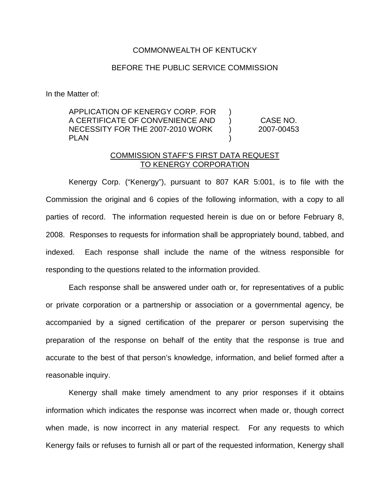## COMMONWEALTH OF KENTUCKY

## BEFORE THE PUBLIC SERVICE COMMISSION

In the Matter of:

APPLICATION OF KENERGY CORP. FOR A CERTIFICATE OF CONVENIENCE AND NECESSITY FOR THE 2007-2010 WORK PLAN  $\lambda$  $\lambda$  $\lambda$ )

CASE NO. 2007-00453

## COMMISSION STAFF'S FIRST DATA REQUEST TO KENERGY CORPORATION

Kenergy Corp. ("Kenergy"), pursuant to 807 KAR 5:001, is to file with the Commission the original and 6 copies of the following information, with a copy to all parties of record. The information requested herein is due on or before February 8, 2008. Responses to requests for information shall be appropriately bound, tabbed, and indexed. Each response shall include the name of the witness responsible for responding to the questions related to the information provided.

Each response shall be answered under oath or, for representatives of a public or private corporation or a partnership or association or a governmental agency, be accompanied by a signed certification of the preparer or person supervising the preparation of the response on behalf of the entity that the response is true and accurate to the best of that person's knowledge, information, and belief formed after a reasonable inquiry.

Kenergy shall make timely amendment to any prior responses if it obtains information which indicates the response was incorrect when made or, though correct when made, is now incorrect in any material respect. For any requests to which Kenergy fails or refuses to furnish all or part of the requested information, Kenergy shall